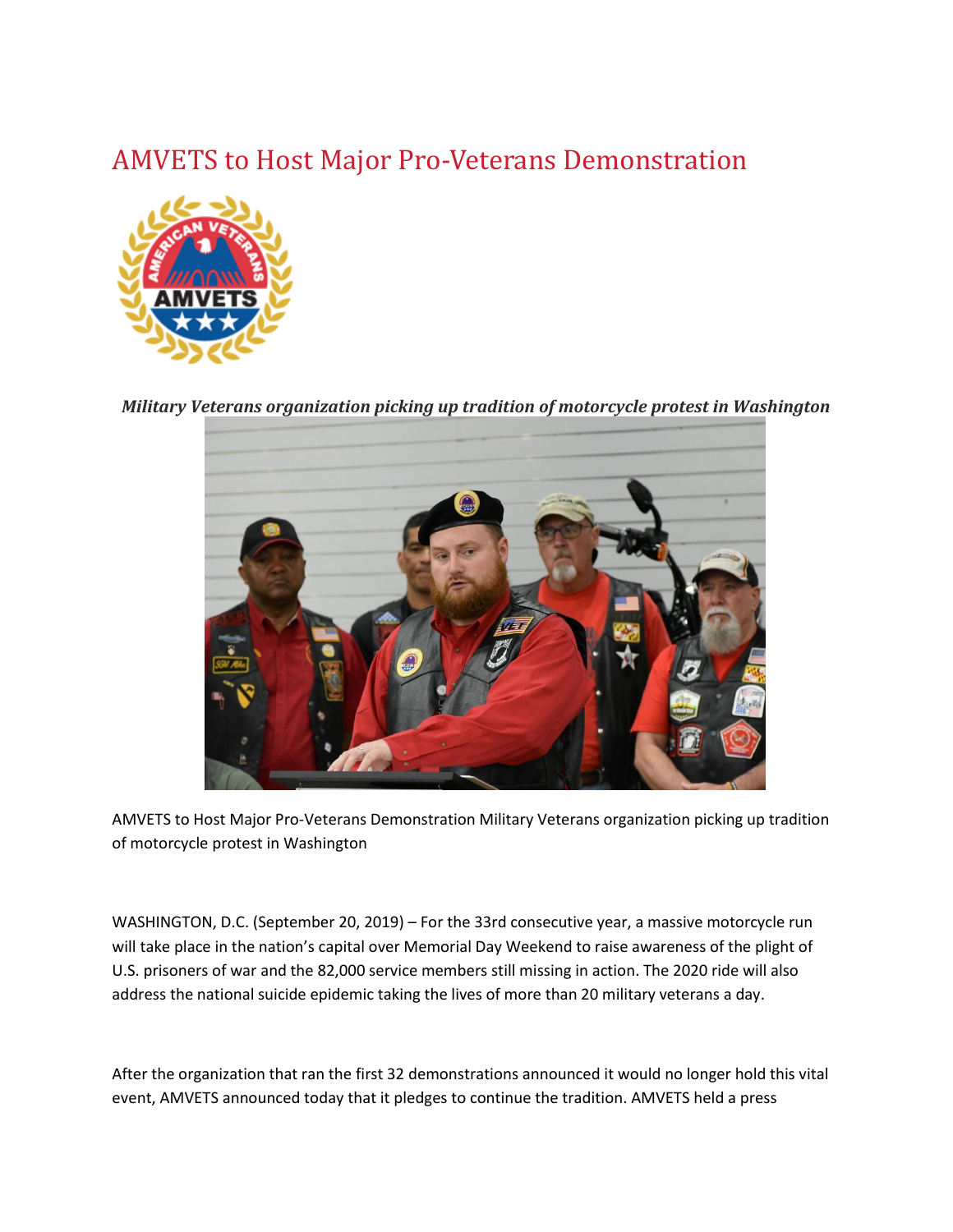## AMVETS to Host Major Pro-Veterans Demonstration



*Military Veterans organization picking up tradition of motorcycle protest in Washington*



AMVETS to Host Major Pro-Veterans Demonstration Military Veterans organization picking up tradition of motorcycle protest in Washington

WASHINGTON, D.C. (September 20, 2019) – For the 33rd consecutive year, a massive motorcycle run will take place in the nation's capital over Memorial Day Weekend to raise awareness of the plight of U.S. prisoners of war and the 82,000 service members still missing in action. The 2020 ride will also address the national suicide epidemic taking the lives of more than 20 military veterans a day.

After the organization that ran the first 32 demonstrations announced it would no longer hold this vital event, AMVETS announced today that it pledges to continue the tradition. AMVETS held a press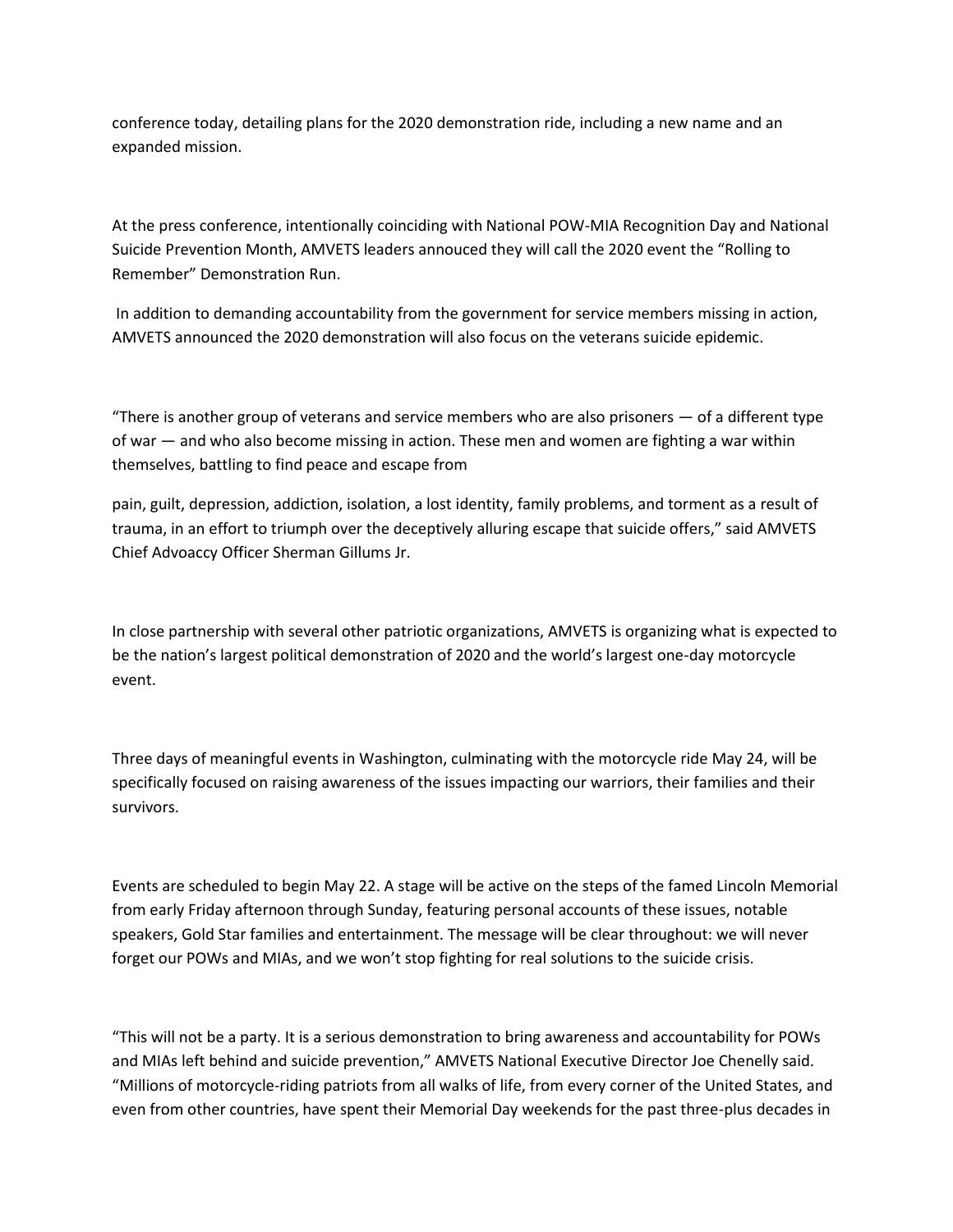conference today, detailing plans for the 2020 demonstration ride, including a new name and an expanded mission.

At the press conference, intentionally coinciding with National POW-MIA Recognition Day and National Suicide Prevention Month, AMVETS leaders annouced they will call the 2020 event the "Rolling to Remember" Demonstration Run.

In addition to demanding accountability from the government for service members missing in action, AMVETS announced the 2020 demonstration will also focus on the veterans suicide epidemic.

"There is another group of veterans and service members who are also prisoners — of a different type of war — and who also become missing in action. These men and women are fighting a war within themselves, battling to find peace and escape from

pain, guilt, depression, addiction, isolation, a lost identity, family problems, and torment as a result of trauma, in an effort to triumph over the deceptively alluring escape that suicide offers," said AMVETS Chief Advoaccy Officer Sherman Gillums Jr.

In close partnership with several other patriotic organizations, AMVETS is organizing what is expected to be the nation's largest political demonstration of 2020 and the world's largest one-day motorcycle event.

Three days of meaningful events in Washington, culminating with the motorcycle ride May 24, will be specifically focused on raising awareness of the issues impacting our warriors, their families and their survivors.

Events are scheduled to begin May 22. A stage will be active on the steps of the famed Lincoln Memorial from early Friday afternoon through Sunday, featuring personal accounts of these issues, notable speakers, Gold Star families and entertainment. The message will be clear throughout: we will never forget our POWs and MIAs, and we won't stop fighting for real solutions to the suicide crisis.

"This will not be a party. It is a serious demonstration to bring awareness and accountability for POWs and MIAs left behind and suicide prevention," AMVETS National Executive Director Joe Chenelly said. "Millions of motorcycle-riding patriots from all walks of life, from every corner of the United States, and even from other countries, have spent their Memorial Day weekends for the past three-plus decades in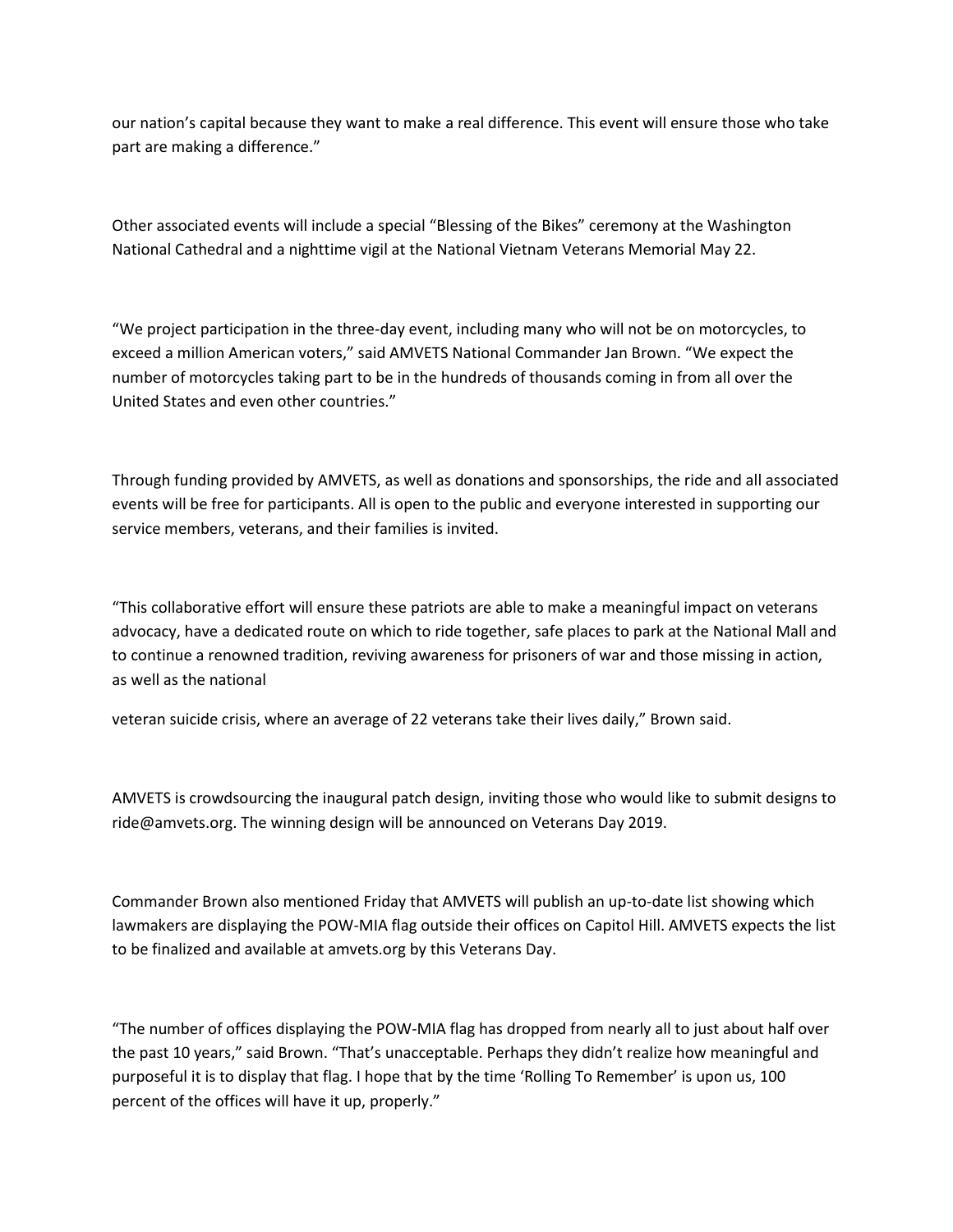our nation's capital because they want to make a real difference. This event will ensure those who take part are making a difference."

Other associated events will include a special "Blessing of the Bikes" ceremony at the Washington National Cathedral and a nighttime vigil at the National Vietnam Veterans Memorial May 22.

"We project participation in the three-day event, including many who will not be on motorcycles, to exceed a million American voters," said AMVETS National Commander Jan Brown. "We expect the number of motorcycles taking part to be in the hundreds of thousands coming in from all over the United States and even other countries."

Through funding provided by AMVETS, as well as donations and sponsorships, the ride and all associated events will be free for participants. All is open to the public and everyone interested in supporting our service members, veterans, and their families is invited.

"This collaborative effort will ensure these patriots are able to make a meaningful impact on veterans advocacy, have a dedicated route on which to ride together, safe places to park at the National Mall and to continue a renowned tradition, reviving awareness for prisoners of war and those missing in action, as well as the national

veteran suicide crisis, where an average of 22 veterans take their lives daily," Brown said.

AMVETS is crowdsourcing the inaugural patch design, inviting those who would like to submit designs to ride@amvets.org. The winning design will be announced on Veterans Day 2019.

Commander Brown also mentioned Friday that AMVETS will publish an up-to-date list showing which lawmakers are displaying the POW-MIA flag outside their offices on Capitol Hill. AMVETS expects the list to be finalized and available at amvets.org by this Veterans Day.

"The number of offices displaying the POW-MIA flag has dropped from nearly all to just about half over the past 10 years," said Brown. "That's unacceptable. Perhaps they didn't realize how meaningful and purposeful it is to display that flag. I hope that by the time 'Rolling To Remember' is upon us, 100 percent of the offices will have it up, properly."